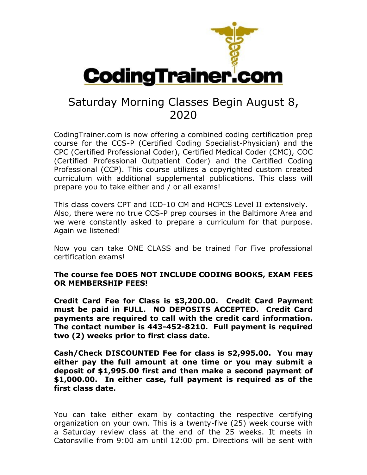

## Saturday Morning Classes Begin August 8, 2020

CodingTrainer.com is now offering a combined coding certification prep course for the CCS-P (Certified Coding Specialist-Physician) and the CPC (Certified Professional Coder), Certified Medical Coder (CMC), COC (Certified Professional Outpatient Coder) and the Certified Coding Professional (CCP). This course utilizes a copyrighted custom created curriculum with additional supplemental publications. This class will prepare you to take either and / or all exams!

This class covers CPT and ICD-10 CM and HCPCS Level II extensively. Also, there were no true CCS-P prep courses in the Baltimore Area and we were constantly asked to prepare a curriculum for that purpose. Again we listened!

Now you can take ONE CLASS and be trained For Five professional certification exams!

## **The course fee DOES NOT INCLUDE CODING BOOKS, EXAM FEES OR MEMBERSHIP FEES!**

**Credit Card Fee for Class is \$3,200.00. Credit Card Payment must be paid in FULL. NO DEPOSITS ACCEPTED. Credit Card payments are required to call with the credit card information. The contact number is 443-452-8210. Full payment is required two (2) weeks prior to first class date.**

**Cash/Check DISCOUNTED Fee for class is \$2,995.00. You may either pay the full amount at one time or you may submit a deposit of \$1,995.00 first and then make a second payment of \$1,000.00. In either case, full payment is required as of the first class date.**

You can take either exam by contacting the respective certifying organization on your own. This is a twenty-five (25) week course with a Saturday review class at the end of the 25 weeks. It meets in Catonsville from 9:00 am until 12:00 pm. Directions will be sent with